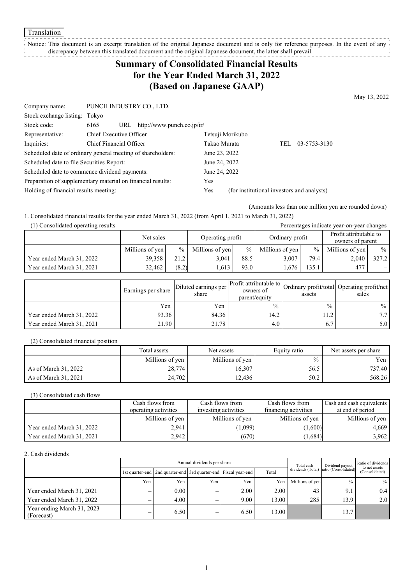Translation

### Notice: This document is an excerpt translation of the original Japanese document and is only for reference purposes. In the event of any

discrepancy between this translated document and the original Japanese document, the latter shall prevail.

# **Summary of Consolidated Financial Results for the Year Ended March 31, 2022 (Based on Japanese GAAP)**

May 13, 2022

| Company name:                                               | PUNCH INDUSTRY CO., LTD. |                                |                                            |                  |     |              |  |
|-------------------------------------------------------------|--------------------------|--------------------------------|--------------------------------------------|------------------|-----|--------------|--|
| Stock exchange listing: Tokyo                               |                          |                                |                                            |                  |     |              |  |
| Stock code:                                                 | 6165                     | URL http://www.punch.co.jp/ir/ |                                            |                  |     |              |  |
| Representative:                                             | Chief Executive Officer  |                                |                                            | Tetsuji Morikubo |     |              |  |
| Inquiries:                                                  | Chief Financial Officer  |                                | Takao Murata                               |                  | TEL | 03-5753-3130 |  |
| Scheduled date of ordinary general meeting of shareholders: |                          |                                | June 23, 2022                              |                  |     |              |  |
| Scheduled date to file Securities Report:                   |                          |                                | June 24, 2022                              |                  |     |              |  |
| Scheduled date to commence dividend payments:               |                          | June 24, 2022                  |                                            |                  |     |              |  |
| Preparation of supplementary material on financial results: |                          |                                | <b>Yes</b>                                 |                  |     |              |  |
| Holding of financial results meeting:                       |                          | Yes                            | (for institutional investors and analysts) |                  |     |              |  |
|                                                             |                          |                                |                                            |                  |     |              |  |

(Amounts less than one million yen are rounded down)

1. Consolidated financial results for the year ended March 31, 2022 (from April 1, 2021 to March 31, 2022)

| (1) Consolidated operating results<br>Percentages indicate year-on-year changes |                 |       |                  |      |                 |               |                                            |               |
|---------------------------------------------------------------------------------|-----------------|-------|------------------|------|-----------------|---------------|--------------------------------------------|---------------|
|                                                                                 | Net sales       |       | Operating profit |      | Ordinary profit |               | Profit attributable to<br>owners of parent |               |
|                                                                                 | Millions of yen | $\%$  | Millions of yen  | $\%$ | Millions of yen | $\frac{9}{6}$ | Millions of yen                            | $\frac{0}{0}$ |
| Year ended March 31, 2022                                                       | 39.358          | 21.2  | 3.041            | 88.5 | 3.007           | 79.4          | 2,040                                      | 327.2         |
| Year ended March 31, 2021                                                       | 32.462          | (8.2) | .613             | 93.0 | .676            | 135.1         | 477                                        |               |

|                           | Earnings per share | Diluted earnings per<br>share | parent/equity | assets        | Arr Profit attributable to Ordinary profit/total Operating profit/net '<br>sales |
|---------------------------|--------------------|-------------------------------|---------------|---------------|----------------------------------------------------------------------------------|
|                           | Yen                | Yen                           | $\frac{0}{0}$ | $\frac{0}{0}$ | $\frac{0}{0}$                                                                    |
| Year ended March 31, 2022 | 93.36              | 84.36                         | 14.2          | 11.2          | 77                                                                               |
| Year ended March 31, 2021 | 21.90              | 21.78                         | $4.0^{\circ}$ | 6.7           | 5.0 <sub>1</sub>                                                                 |

(2) Consolidated financial position

|                      | Total assets    | Net assets      | Equity ratio  | Net assets per share |
|----------------------|-----------------|-----------------|---------------|----------------------|
|                      | Millions of yen | Millions of yen | $\frac{0}{0}$ | Yen                  |
| As of March 31, 2022 | 28,774          | 16,307          | 56.5          | 737.40               |
| As of March 31, 2021 | 24,702          | 12,436          | 50.2          | 568.26               |

(3) Consolidated cash flows

|                           | Cash flows from      | Cash flows from      | Cash flows from      | Cash and cash equivalents |
|---------------------------|----------------------|----------------------|----------------------|---------------------------|
|                           | operating activities | investing activities | financing activities | at end of period          |
|                           | Millions of yen      | Millions of yen      | Millions of yen      | Millions of yen           |
| Year ended March 31, 2022 | 2,941                | (1,099)              | (1,600)              | 4,669                     |
| Year ended March 31, 2021 | 2.942                | (670)                | (1,684)              | 3,962                     |

2. Cash dividends

|                                          | Annual dividends per share |                                                                       |     |      |       | Total cash        | Dividend payout      | Ratio of dividends<br>to net assets |  |
|------------------------------------------|----------------------------|-----------------------------------------------------------------------|-----|------|-------|-------------------|----------------------|-------------------------------------|--|
|                                          |                            | 1st quarter-end   2nd quarter-end   3rd quarter-end   Fiscal year-end |     |      | Total | dividends (Total) | ratio (Consolidated) | (Consolidated)                      |  |
|                                          | Yen                        | Yen                                                                   | Yen | Yen  | Yen   | Millions of ven   | $\frac{0}{0}$        | $\%$                                |  |
| Year ended March 31, 2021                | _                          | $0.00\,$                                                              |     | 2.00 | 2.00  | 43                | 9.1                  | 0.4                                 |  |
| Year ended March 31, 2022                |                            | 4.00                                                                  |     | 9.00 | 13.00 | 285               | 13.9                 | 2.0                                 |  |
| Year ending March 31, 2023<br>(Forecast) | –                          | 6.50                                                                  |     | 6.50 | 13.00 |                   | 13.7                 |                                     |  |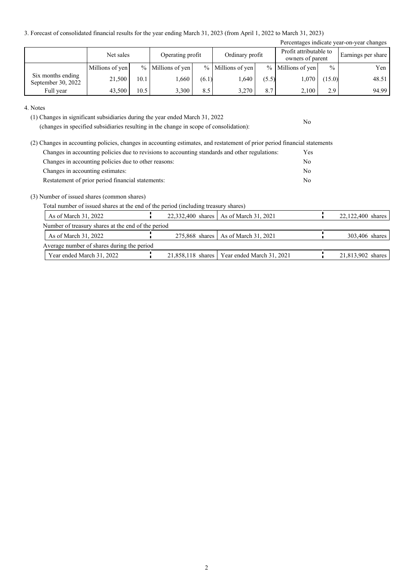3. Forecast of consolidated financial results for the year ending March 31, 2023 (from April 1, 2022 to March 31, 2023)

| Percentages indicate year-on-year changes |                 |      |                     |       |                     |       |                                            |               |                    |
|-------------------------------------------|-----------------|------|---------------------|-------|---------------------|-------|--------------------------------------------|---------------|--------------------|
|                                           | Net sales       |      | Operating profit    |       | Ordinary profit     |       | Profit attributable to<br>owners of parent |               | Earnings per share |
|                                           | Millions of yen |      | $%$ Millions of yen |       | $%$ Millions of yen |       | $%$ Millions of yen                        | $\frac{0}{0}$ | Yen 1              |
| Six months ending<br>September 30, 2022   | 21,500          | 10.1 | 1,660               | (6.1) | 1.640               | (5.5) | 1,070                                      | (15.0)        | 48.51              |
| Full year                                 | 43,500          | 10.5 | 3,300               | 8.5   | 3,270               | 8.7   | 2,100                                      | 2.9           | 94.99              |

No

4. Notes

(1) Changes in significant subsidiaries during the year ended March 31, 2022

(changes in specified subsidiaries resulting in the change in scope of consolidation):

| (2) Changes in accounting policies, changes in accounting estimates, and restatement of prior period financial statements |            |
|---------------------------------------------------------------------------------------------------------------------------|------------|
| Changes in accounting policies due to revisions to accounting standards and other regulations:                            | <b>Yes</b> |
| Changes in accounting policies due to other reasons:                                                                      | No         |
| Changes in accounting estimates:                                                                                          | No         |
| Restatement of prior period financial statements:                                                                         | No         |

(3) Number of issued shares (common shares)

Total number of issued shares at the end of the period (including treasury shares)

| As of March 31, 2022                               |  | 22,332,400 shares   As of March 31, 2021      | 22,122,400 shares |
|----------------------------------------------------|--|-----------------------------------------------|-------------------|
| Number of treasury shares at the end of the period |  |                                               |                   |
| As of March 31, 2022                               |  | 275,868 shares   As of March 31, 2021         | 303,406 shares    |
| Average number of shares during the period         |  |                                               |                   |
| Year ended March 31, 2022                          |  | 21,858,118 shares   Year ended March 31, 2021 | 21,813,902 shares |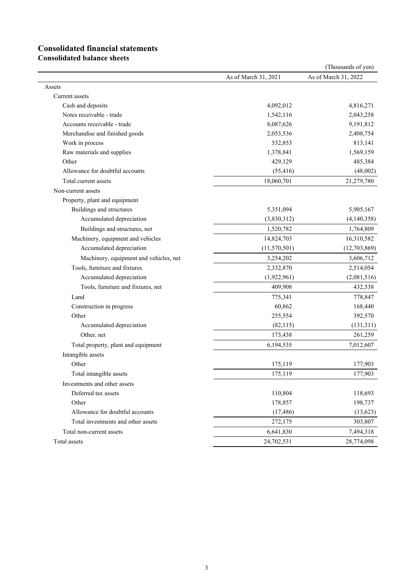# **Consolidated financial statements**

**Consolidated balance sheets**

|                                        |                      | (Thousands of yen)   |
|----------------------------------------|----------------------|----------------------|
|                                        | As of March 31, 2021 | As of March 31, 2022 |
| Assets                                 |                      |                      |
| Current assets                         |                      |                      |
| Cash and deposits                      | 4,092,012            | 4,816,271            |
| Notes receivable - trade               | 1,542,116            | 2,043,258            |
| Accounts receivable - trade            | 8,087,626            | 9,191,812            |
| Merchandise and finished goods         | 2,053,536            | 2,408,754            |
| Work in process                        | 532,853              | 813,141              |
| Raw materials and supplies             | 1,378,841            | 1,569,159            |
| Other                                  | 429,129              | 485,384              |
| Allowance for doubtful accounts        | (55, 416)            | (48,002)             |
| Total current assets                   | 18,060,701           | 21,279,780           |
| Non-current assets                     |                      |                      |
| Property, plant and equipment          |                      |                      |
| Buildings and structures               | 5,351,094            | 5,905,167            |
| Accumulated depreciation               | (3,830,312)          | (4,140,358)          |
| Buildings and structures, net          | 1,520,782            | 1,764,809            |
| Machinery, equipment and vehicles      | 14,824,703           | 16,310,582           |
| Accumulated depreciation               | (11, 570, 501)       | (12,703,869)         |
| Machinery, equipment and vehicles, net | 3,254,202            | 3,606,712            |
| Tools, furniture and fixtures          | 2,332,870            | 2,514,054            |
| Accumulated depreciation               | (1,922,961)          | (2,081,516)          |
| Tools, furniture and fixtures, net     | 409,908              | 432,538              |
| Land                                   | 775,341              | 778,847              |
| Construction in progress               | 60,862               | 168,440              |
| Other                                  | 255,554              | 392,570              |
| Accumulated depreciation               | (82, 115)            | (131, 311)           |
| Other, net                             | 173,438              | 261,259              |
| Total property, plant and equipment    | 6,194,535            | 7,012,607            |
| Intangible assets                      |                      |                      |
| Other                                  | 175,119              | 177,903              |
| Total intangible assets                | 175,119              | 177,903              |
| Investments and other assets           |                      |                      |
| Deferred tax assets                    | 110,804              | 118,693              |
| Other                                  | 178,857              | 198,737              |
| Allowance for doubtful accounts        | (17, 486)            | (13, 623)            |
| Total investments and other assets     | 272,175              | 303,807              |
| Total non-current assets               | 6,641,830            | 7,494,318            |
| Total assets                           | 24,702,531           | 28,774,098           |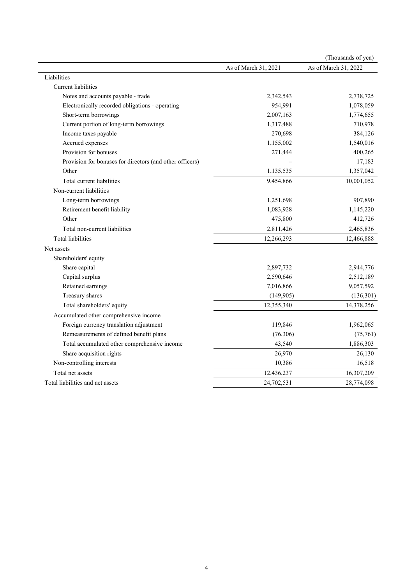|                                                          |                      | (Thousands of yen)   |
|----------------------------------------------------------|----------------------|----------------------|
|                                                          | As of March 31, 2021 | As of March 31, 2022 |
| Liabilities                                              |                      |                      |
| <b>Current</b> liabilities                               |                      |                      |
| Notes and accounts payable - trade                       | 2,342,543            | 2,738,725            |
| Electronically recorded obligations - operating          | 954,991              | 1,078,059            |
| Short-term borrowings                                    | 2,007,163            | 1,774,655            |
| Current portion of long-term borrowings                  | 1,317,488            | 710,978              |
| Income taxes payable                                     | 270,698              | 384,126              |
| Accrued expenses                                         | 1,155,002            | 1,540,016            |
| Provision for bonuses                                    | 271,444              | 400,265              |
| Provision for bonuses for directors (and other officers) |                      | 17,183               |
| Other                                                    | 1,135,535            | 1,357,042            |
| Total current liabilities                                | 9,454,866            | 10,001,052           |
| Non-current liabilities                                  |                      |                      |
| Long-term borrowings                                     | 1,251,698            | 907,890              |
| Retirement benefit liability                             | 1,083,928            | 1,145,220            |
| Other                                                    | 475,800              | 412,726              |
| Total non-current liabilities                            | 2,811,426            | 2,465,836            |
| <b>Total liabilities</b>                                 | 12,266,293           | 12,466,888           |
| Net assets                                               |                      |                      |
| Shareholders' equity                                     |                      |                      |
| Share capital                                            | 2,897,732            | 2,944,776            |
| Capital surplus                                          | 2,590,646            | 2,512,189            |
| Retained earnings                                        | 7,016,866            | 9,057,592            |
| Treasury shares                                          | (149,905)            | (136, 301)           |
| Total shareholders' equity                               | 12,355,340           | 14,378,256           |
| Accumulated other comprehensive income                   |                      |                      |
| Foreign currency translation adjustment                  | 119,846              | 1,962,065            |
| Remeasurements of defined benefit plans                  | (76, 306)            | (75, 761)            |
| Total accumulated other comprehensive income             | 43,540               | 1,886,303            |
| Share acquisition rights                                 | 26,970               | 26,130               |
| Non-controlling interests                                | 10,386               | 16,518               |
| Total net assets                                         | 12,436,237           | 16,307,209           |
| Total liabilities and net assets                         | 24,702,531           | 28,774,098           |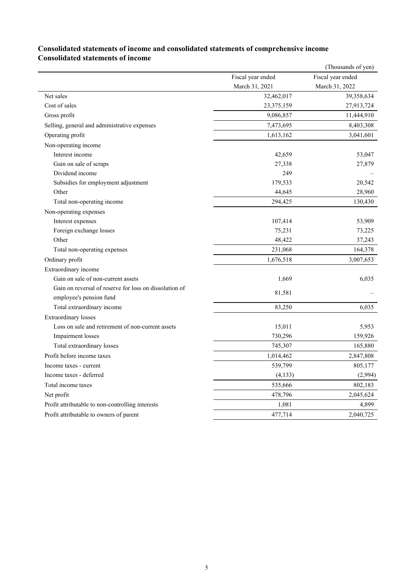|                                                        |                   | (Thousands of yen) |
|--------------------------------------------------------|-------------------|--------------------|
|                                                        | Fiscal year ended | Fiscal year ended  |
|                                                        | March 31, 2021    | March 31, 2022     |
| Net sales                                              | 32,462,017        | 39,358,634         |
| Cost of sales                                          | 23,375,159        | 27,913,724         |
| Gross profit                                           | 9,086,857         | 11,444,910         |
| Selling, general and administrative expenses           | 7,473,695         | 8,403,308          |
| Operating profit                                       | 1,613,162         | 3,041,601          |
| Non-operating income                                   |                   |                    |
| Interest income                                        | 42,659            | 53,047             |
| Gain on sale of scraps                                 | 27,338            | 27,879             |
| Dividend income                                        | 249               |                    |
| Subsidies for employment adjustment                    | 179,533           | 20,542             |
| Other                                                  | 44,645            | 28,960             |
| Total non-operating income                             | 294,425           | 130,430            |
| Non-operating expenses                                 |                   |                    |
| Interest expenses                                      | 107,414           | 53,909             |
| Foreign exchange losses                                | 75,231            | 73,225             |
| Other                                                  | 48,422            | 37,243             |
| Total non-operating expenses                           | 231,068           | 164,378            |
| Ordinary profit                                        | 1,676,518         | 3,007,653          |
| Extraordinary income                                   |                   |                    |
| Gain on sale of non-current assets                     | 1,669             | 6,035              |
| Gain on reversal of reserve for loss on dissolution of | 81,581            |                    |
| employee's pension fund                                |                   |                    |
| Total extraordinary income                             | 83,250            | 6,035              |
| <b>Extraordinary</b> losses                            |                   |                    |
| Loss on sale and retirement of non-current assets      | 15,011            | 5,953              |
| Impairment losses                                      | 730,296           | 159,926            |
| Total extraordinary losses                             | 745,307           | 165,880            |
| Profit before income taxes                             | 1,014,462         | 2,847,808          |
| Income taxes - current                                 | 539,799           | 805,177            |
| Income taxes - deferred                                | (4, 133)          | (2,994)            |
| Total income taxes                                     | 535,666           | 802,183            |
| Net profit                                             | 478,796           | 2,045,624          |
| Profit attributable to non-controlling interests       | 1,081             | 4,899              |
| Profit attributable to owners of parent                | 477,714           | 2,040,725          |
|                                                        |                   |                    |

### **Consolidated statements of income and consolidated statements of comprehensive income Consolidated statements of income**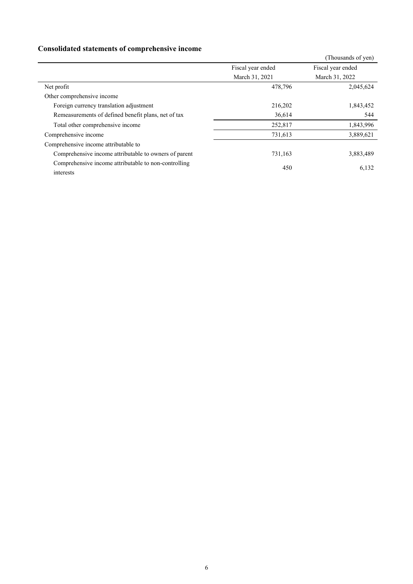## **Consolidated statements of comprehensive income**

|                   | (Thousands of yen) |
|-------------------|--------------------|
| Fiscal year ended | Fiscal year ended  |
| March 31, 2021    | March 31, 2022     |
| 478,796           | 2,045,624          |
|                   |                    |
| 216,202           | 1,843,452          |
| 36,614            | 544                |
| 252,817           | 1,843,996          |
| 731,613           | 3,889,621          |
|                   |                    |
| 731,163           | 3,883,489          |
| 450               | 6,132              |
|                   |                    |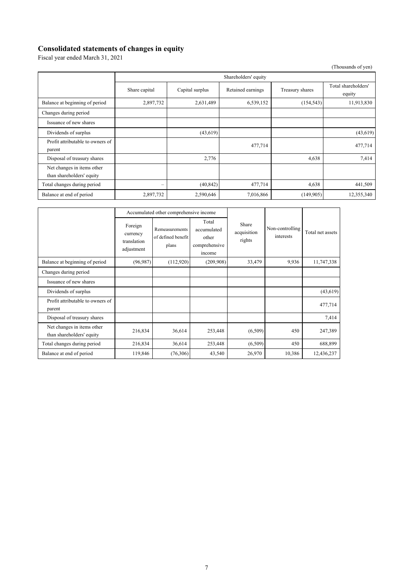#### **Consolidated statements of changes in equity**

Fiscal year ended March 31, 2021

| (Thousands of yen)                                      |                          |                      |                   |                 |                               |  |
|---------------------------------------------------------|--------------------------|----------------------|-------------------|-----------------|-------------------------------|--|
|                                                         |                          | Shareholders' equity |                   |                 |                               |  |
|                                                         | Share capital            | Capital surplus      | Retained earnings | Treasury shares | Total shareholders'<br>equity |  |
| Balance at beginning of period                          | 2,897,732                | 2,631,489            | 6,539,152         | (154, 543)      | 11,913,830                    |  |
| Changes during period                                   |                          |                      |                   |                 |                               |  |
| Issuance of new shares                                  |                          |                      |                   |                 |                               |  |
| Dividends of surplus                                    |                          | (43,619)             |                   |                 | (43, 619)                     |  |
| Profit attributable to owners of<br>parent              |                          |                      | 477,714           |                 | 477,714                       |  |
| Disposal of treasury shares                             |                          | 2,776                |                   | 4,638           | 7,414                         |  |
| Net changes in items other<br>than shareholders' equity |                          |                      |                   |                 |                               |  |
| Total changes during period                             | $\overline{\phantom{0}}$ | (40, 842)            | 477,714           | 4,638           | 441,509                       |  |
| Balance at end of period                                | 2,897,732                | 2,590,646            | 7,016,866         | (149, 905)      | 12,355,340                    |  |

|                                                         | Accumulated other comprehensive income           |                                                      |                                                          |                                |                              |                  |
|---------------------------------------------------------|--------------------------------------------------|------------------------------------------------------|----------------------------------------------------------|--------------------------------|------------------------------|------------------|
|                                                         | Foreign<br>currency<br>translation<br>adjustment | <b>Remeasurements</b><br>of defined benefit<br>plans | Total<br>accumulated<br>other<br>comprehensive<br>income | Share<br>acquisition<br>rights | Non-controlling<br>interests | Total net assets |
| Balance at beginning of period                          | (96, 987)                                        | (112,920)                                            | (209,908)                                                | 33,479                         | 9,936                        | 11,747,338       |
| Changes during period                                   |                                                  |                                                      |                                                          |                                |                              |                  |
| Issuance of new shares                                  |                                                  |                                                      |                                                          |                                |                              |                  |
| Dividends of surplus                                    |                                                  |                                                      |                                                          |                                |                              | (43,619)         |
| Profit attributable to owners of<br>parent              |                                                  |                                                      |                                                          |                                |                              | 477,714          |
| Disposal of treasury shares                             |                                                  |                                                      |                                                          |                                |                              | 7,414            |
| Net changes in items other<br>than shareholders' equity | 216,834                                          | 36,614                                               | 253,448                                                  | (6,509)                        | 450                          | 247,389          |
| Total changes during period                             | 216,834                                          | 36,614                                               | 253,448                                                  | (6,509)                        | 450                          | 688,899          |
| Balance at end of period                                | 119,846                                          | (76,306)                                             | 43,540                                                   | 26,970                         | 10,386                       | 12,436,237       |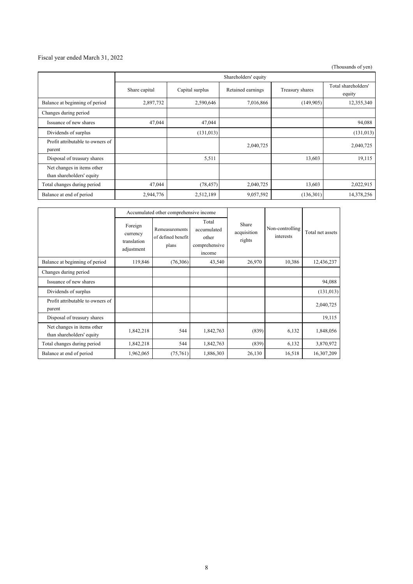#### Fiscal year ended March 31, 2022

(Thousands of yen)

|                                                         | Shareholders' equity |                 |                   |                 |                               |
|---------------------------------------------------------|----------------------|-----------------|-------------------|-----------------|-------------------------------|
|                                                         | Share capital        | Capital surplus | Retained earnings | Treasury shares | Total shareholders'<br>equity |
| Balance at beginning of period                          | 2,897,732            | 2,590,646       | 7,016,866         | (149,905)       | 12,355,340                    |
| Changes during period                                   |                      |                 |                   |                 |                               |
| Issuance of new shares                                  | 47,044               | 47,044          |                   |                 | 94,088                        |
| Dividends of surplus                                    |                      | (131, 013)      |                   |                 | (131, 013)                    |
| Profit attributable to owners of<br>parent              |                      |                 | 2,040,725         |                 | 2,040,725                     |
| Disposal of treasury shares                             |                      | 5,511           |                   | 13,603          | 19,115                        |
| Net changes in items other<br>than shareholders' equity |                      |                 |                   |                 |                               |
| Total changes during period                             | 47,044               | (78, 457)       | 2,040,725         | 13,603          | 2,022,915                     |
| Balance at end of period                                | 2,944,776            | 2,512,189       | 9,057,592         | (136,301)       | 14,378,256                    |

|                                                         | Accumulated other comprehensive income           |                                                      |                                                          |                                |                              |                  |
|---------------------------------------------------------|--------------------------------------------------|------------------------------------------------------|----------------------------------------------------------|--------------------------------|------------------------------|------------------|
|                                                         | Foreign<br>currency<br>translation<br>adjustment | <b>Remeasurements</b><br>of defined benefit<br>plans | Total<br>accumulated<br>other<br>comprehensive<br>income | Share<br>acquisition<br>rights | Non-controlling<br>interests | Total net assets |
| Balance at beginning of period                          | 119,846                                          | (76,306)                                             | 43,540                                                   | 26,970                         | 10,386                       | 12,436,237       |
| Changes during period                                   |                                                  |                                                      |                                                          |                                |                              |                  |
| Issuance of new shares                                  |                                                  |                                                      |                                                          |                                |                              | 94,088           |
| Dividends of surplus                                    |                                                  |                                                      |                                                          |                                |                              | (131, 013)       |
| Profit attributable to owners of<br>parent              |                                                  |                                                      |                                                          |                                |                              | 2,040,725        |
| Disposal of treasury shares                             |                                                  |                                                      |                                                          |                                |                              | 19,115           |
| Net changes in items other<br>than shareholders' equity | 1,842,218                                        | 544                                                  | 1,842,763                                                | (839)                          | 6,132                        | 1,848,056        |
| Total changes during period                             | 1,842,218                                        | 544                                                  | 1,842,763                                                | (839)                          | 6,132                        | 3,870,972        |
| Balance at end of period                                | 1,962,065                                        | (75,761)                                             | 1,886,303                                                | 26,130                         | 16,518                       | 16,307,209       |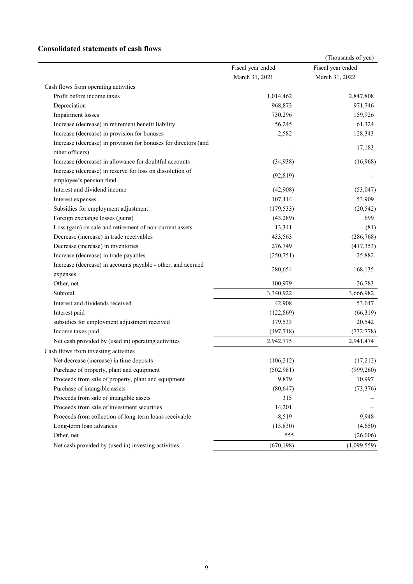### **Consolidated statements of cash flows**

|                                                                 |                   | (Thousands of yen) |
|-----------------------------------------------------------------|-------------------|--------------------|
|                                                                 | Fiscal year ended | Fiscal year ended  |
|                                                                 | March 31, 2021    | March 31, 2022     |
| Cash flows from operating activities                            |                   |                    |
| Profit before income taxes                                      | 1,014,462         | 2,847,808          |
| Depreciation                                                    | 968,873           | 971,746            |
| Impairment losses                                               | 730,296           | 159,926            |
| Increase (decrease) in retirement benefit liability             | 56,245            | 61,324             |
| Increase (decrease) in provision for bonuses                    | 2,582             | 128,343            |
| Increase (decrease) in provision for bonuses for directors (and |                   |                    |
| other officers)                                                 |                   | 17,183             |
| Increase (decrease) in allowance for doubtful accounts          | (34,938)          | (16,968)           |
| Increase (decrease) in reserve for loss on dissolution of       |                   |                    |
| employee's pension fund                                         | (92, 819)         |                    |
| Interest and dividend income                                    | (42,908)          | (53,047)           |
| Interest expenses                                               | 107,414           | 53,909             |
| Subsidies for employment adjustment                             | (179, 533)        | (20, 542)          |
| Foreign exchange losses (gains)                                 | (43, 289)         | 699                |
| Loss (gain) on sale and retirement of non-current assets        | 13,341            | (81)               |
| Decrease (increase) in trade receivables                        | 433,563           | (286, 768)         |
| Decrease (increase) in inventories                              | 276,749           | (417, 353)         |
| Increase (decrease) in trade payables                           | (250, 751)        | 25,882             |
| Increase (decrease) in accounts payable - other, and accrued    |                   |                    |
| expenses                                                        | 280,654           | 168,135            |
| Other, net                                                      | 100,979           | 26,783             |
| Subtotal                                                        | 3,340,922         | 3,666,982          |
| Interest and dividends received                                 | 42,908            | 53,047             |
| Interest paid                                                   | (122, 869)        | (66,319)           |
| subsidies for employment adjustment received                    | 179,533           | 20,542             |
| Income taxes paid                                               | (497, 718)        | (732, 778)         |
| Net cash provided by (used in) operating activities             | 2,942,775         | 2,941,474          |
| Cash flows from investing activities                            |                   |                    |
| Net decrease (increase) in time deposits                        | (106, 212)        | (17,212)           |
| Purchase of property, plant and equipment                       | (502, 981)        | (999, 260)         |
| Proceeds from sale of property, plant and equipment             | 9,879             | 10,997             |
| Purchase of intangible assets                                   | (80, 647)         | (73, 376)          |
| Proceeds from sale of intangible assets                         | 315               |                    |
| Proceeds from sale of investment securities                     | 14,201            |                    |
| Proceeds from collection of long-term loans receivable          | 8,519             | 9,948              |
| Long-term loan advances                                         | (13, 830)         | (4,650)            |
| Other, net                                                      | 555               | (26,006)           |
| Net cash provided by (used in) investing activities             | (670, 198)        | (1,099,559)        |